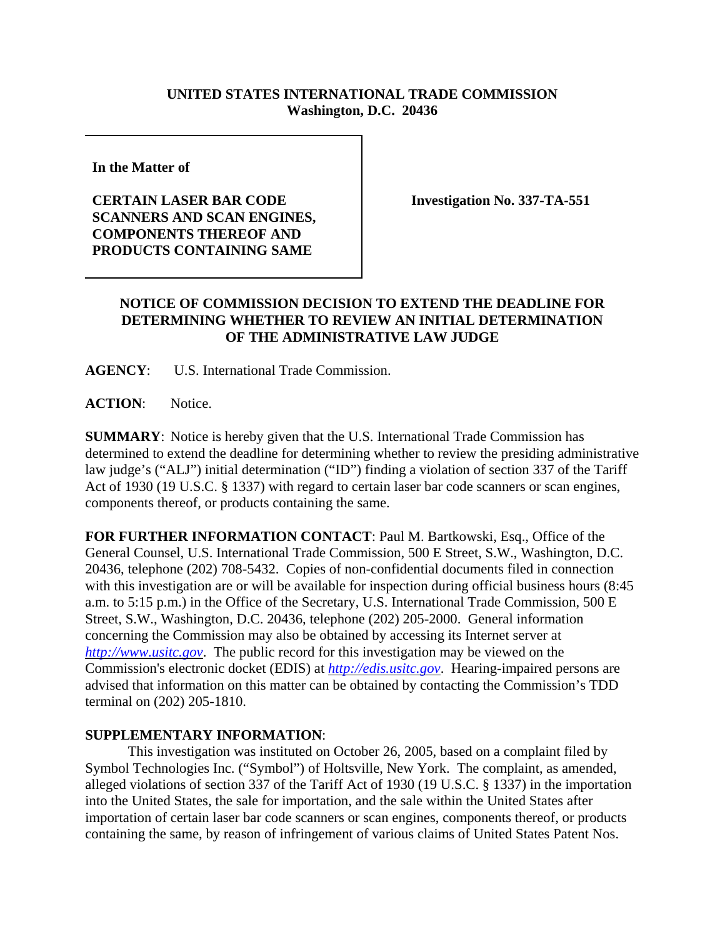## **UNITED STATES INTERNATIONAL TRADE COMMISSION Washington, D.C. 20436**

**In the Matter of** 

## **CERTAIN LASER BAR CODE SCANNERS AND SCAN ENGINES, COMPONENTS THEREOF AND PRODUCTS CONTAINING SAME**

**Investigation No. 337-TA-551**

## **NOTICE OF COMMISSION DECISION TO EXTEND THE DEADLINE FOR DETERMINING WHETHER TO REVIEW AN INITIAL DETERMINATION OF THE ADMINISTRATIVE LAW JUDGE**

**AGENCY**: U.S. International Trade Commission.

**ACTION**: Notice.

**SUMMARY**: Notice is hereby given that the U.S. International Trade Commission has determined to extend the deadline for determining whether to review the presiding administrative law judge's ("ALJ") initial determination ("ID") finding a violation of section 337 of the Tariff Act of 1930 (19 U.S.C. § 1337) with regard to certain laser bar code scanners or scan engines, components thereof, or products containing the same.

**FOR FURTHER INFORMATION CONTACT**: Paul M. Bartkowski, Esq., Office of the General Counsel, U.S. International Trade Commission, 500 E Street, S.W., Washington, D.C. 20436, telephone (202) 708-5432. Copies of non-confidential documents filed in connection with this investigation are or will be available for inspection during official business hours (8:45 a.m. to 5:15 p.m.) in the Office of the Secretary, U.S. International Trade Commission, 500 E Street, S.W., Washington, D.C. 20436, telephone (202) 205-2000. General information concerning the Commission may also be obtained by accessing its Internet server at *http://www.usitc.gov*. The public record for this investigation may be viewed on the Commission's electronic docket (EDIS) at *http://edis.usitc.gov*. Hearing-impaired persons are advised that information on this matter can be obtained by contacting the Commission's TDD terminal on (202) 205-1810.

## **SUPPLEMENTARY INFORMATION**:

This investigation was instituted on October 26, 2005, based on a complaint filed by Symbol Technologies Inc. ("Symbol") of Holtsville, New York. The complaint, as amended, alleged violations of section 337 of the Tariff Act of 1930 (19 U.S.C. § 1337) in the importation into the United States, the sale for importation, and the sale within the United States after importation of certain laser bar code scanners or scan engines, components thereof, or products containing the same, by reason of infringement of various claims of United States Patent Nos.